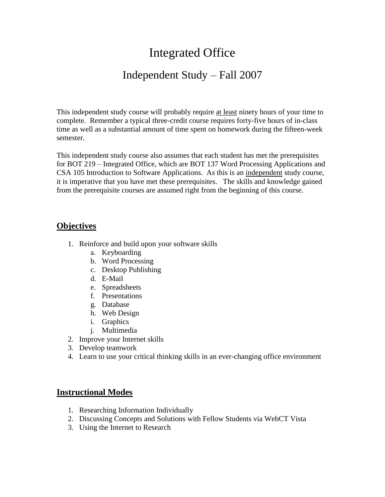# Integrated Office

### Independent Study – Fall 2007

This independent study course will probably require at least ninety hours of your time to complete. Remember a typical three-credit course requires forty-five hours of in-class time as well as a substantial amount of time spent on homework during the fifteen-week semester.

This independent study course also assumes that each student has met the prerequisites for BOT 219 – Integrated Office, which are BOT 137 Word Processing Applications and CSA 105 Introduction to Software Applications. As this is an independent study course, it is imperative that you have met these prerequisites. The skills and knowledge gained from the prerequisite courses are assumed right from the beginning of this course.

#### **Objectives**

- 1. Reinforce and build upon your software skills
	- a. Keyboarding
	- b. Word Processing
	- c. Desktop Publishing
	- d. E-Mail
	- e. Spreadsheets
	- f. Presentations
	- g. Database
	- h. Web Design
	- i. Graphics
	- j. Multimedia
- 2. Improve your Internet skills
- 3. Develop teamwork
- 4. Learn to use your critical thinking skills in an ever-changing office environment

#### **Instructional Modes**

- 1. Researching Information Individually
- 2. Discussing Concepts and Solutions with Fellow Students via WebCT Vista
- 3. Using the Internet to Research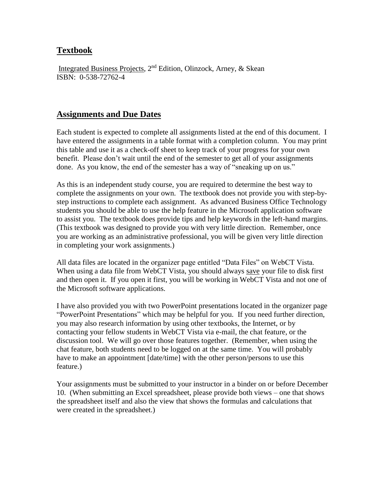#### **Textbook**

Integrated Business Projects, 2nd Edition, Olinzock, Arney, & Skean ISBN: 0-538-72762-4

#### **Assignments and Due Dates**

Each student is expected to complete all assignments listed at the end of this document. I have entered the assignments in a table format with a completion column. You may print this table and use it as a check-off sheet to keep track of your progress for your own benefit. Please don't wait until the end of the semester to get all of your assignments done. As you know, the end of the semester has a way of "sneaking up on us."

As this is an independent study course, you are required to determine the best way to complete the assignments on your own. The textbook does not provide you with step-bystep instructions to complete each assignment. As advanced Business Office Technology students you should be able to use the help feature in the Microsoft application software to assist you. The textbook does provide tips and help keywords in the left-hand margins. (This textbook was designed to provide you with very little direction. Remember, once you are working as an administrative professional, you will be given very little direction in completing your work assignments.)

All data files are located in the organizer page entitled "Data Files" on WebCT Vista. When using a data file from WebCT Vista, you should always save your file to disk first and then open it. If you open it first, you will be working in WebCT Vista and not one of the Microsoft software applications.

I have also provided you with two PowerPoint presentations located in the organizer page "PowerPoint Presentations" which may be helpful for you. If you need further direction, you may also research information by using other textbooks, the Internet, or by contacting your fellow students in WebCT Vista via e-mail, the chat feature, or the discussion tool. We will go over those features together. (Remember, when using the chat feature, both students need to be logged on at the same time. You will probably have to make an appointment [date/time] with the other person/persons to use this feature.)

Your assignments must be submitted to your instructor in a binder on or before December 10. (When submitting an Excel spreadsheet, please provide both views – one that shows the spreadsheet itself and also the view that shows the formulas and calculations that were created in the spreadsheet.)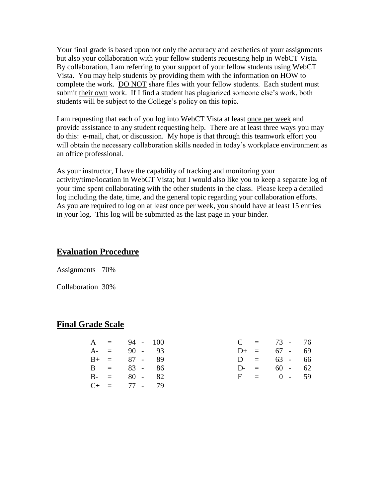Your final grade is based upon not only the accuracy and aesthetics of your assignments but also your collaboration with your fellow students requesting help in WebCT Vista. By collaboration, I am referring to your support of your fellow students using WebCT Vista. You may help students by providing them with the information on HOW to complete the work. DO NOT share files with your fellow students. Each student must submit their own work. If I find a student has plagiarized someone else's work, both students will be subject to the College's policy on this topic.

I am requesting that each of you log into WebCT Vista at least once per week and provide assistance to any student requesting help. There are at least three ways you may do this: e-mail, chat, or discussion. My hope is that through this teamwork effort you will obtain the necessary collaboration skills needed in today's workplace environment as an office professional.

As your instructor, I have the capability of tracking and monitoring your activity/time/location in WebCT Vista; but I would also like you to keep a separate log of your time spent collaborating with the other students in the class. Please keep a detailed log including the date, time, and the general topic regarding your collaboration efforts. As you are required to log on at least once per week, you should have at least 15 entries in your log. This log will be submitted as the last page in your binder.

#### **Evaluation Procedure**

Assignments 70%

Collaboration 30%

#### **Final Grade Scale**

|  | $A = 94 - 100$    |  |  | $C = 73 - 76$  |  |
|--|-------------------|--|--|----------------|--|
|  | $A = 90 - 93$     |  |  | $D+ = 67 - 69$ |  |
|  | $B+ = 87 - 89$    |  |  | $D = 63 - 66$  |  |
|  | $B = 83 - 86$     |  |  | $D = 60 - 62$  |  |
|  | $B - = 80 - 82$   |  |  | $F = 0 - 59$   |  |
|  | $C_{+}$ = 77 - 79 |  |  |                |  |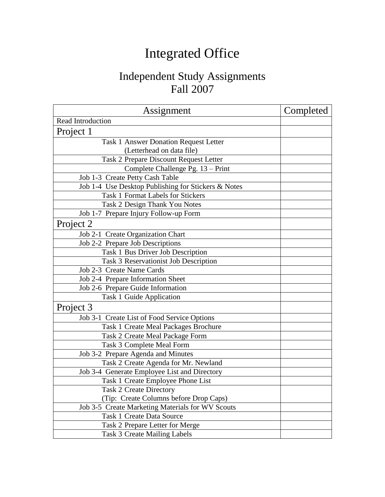# Integrated Office

# Independent Study Assignments Fall 2007

| Assignment                                          | Completed |
|-----------------------------------------------------|-----------|
| Read Introduction                                   |           |
| Project 1                                           |           |
| Task 1 Answer Donation Request Letter               |           |
| (Letterhead on data file)                           |           |
| Task 2 Prepare Discount Request Letter              |           |
| Complete Challenge Pg. 13 - Print                   |           |
| Job 1-3 Create Petty Cash Table                     |           |
| Job 1-4 Use Desktop Publishing for Stickers & Notes |           |
| <b>Task 1 Format Labels for Stickers</b>            |           |
| Task 2 Design Thank You Notes                       |           |
| Job 1-7 Prepare Injury Follow-up Form               |           |
| Project 2                                           |           |
| Job 2-1 Create Organization Chart                   |           |
| Job 2-2 Prepare Job Descriptions                    |           |
| Task 1 Bus Driver Job Description                   |           |
| Task 3 Reservationist Job Description               |           |
| Job 2-3 Create Name Cards                           |           |
| Job 2-4 Prepare Information Sheet                   |           |
| Job 2-6 Prepare Guide Information                   |           |
| Task 1 Guide Application                            |           |
| Project 3                                           |           |
| Job 3-1 Create List of Food Service Options         |           |
| Task 1 Create Meal Packages Brochure                |           |
| Task 2 Create Meal Package Form                     |           |
| Task 3 Complete Meal Form                           |           |
| Job 3-2 Prepare Agenda and Minutes                  |           |
| Task 2 Create Agenda for Mr. Newland                |           |
| Job 3-4 Generate Employee List and Directory        |           |
| Task 1 Create Employee Phone List                   |           |
| <b>Task 2 Create Directory</b>                      |           |
| (Tip: Create Columns before Drop Caps)              |           |
| Job 3-5 Create Marketing Materials for WV Scouts    |           |
| <b>Task 1 Create Data Source</b>                    |           |
| Task 2 Prepare Letter for Merge                     |           |
| Task 3 Create Mailing Labels                        |           |